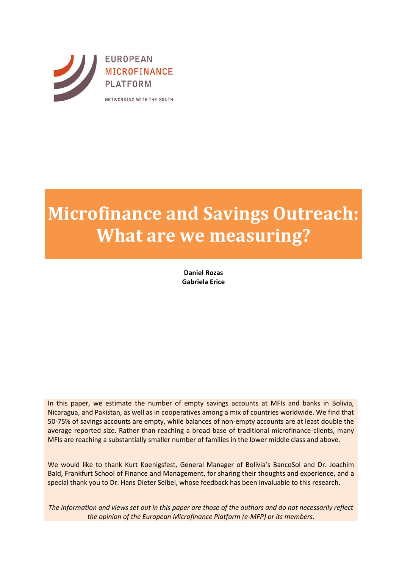

# **Microfinance and Savings Outreach: What are we measuring?**

**Daniel Rozas Gabriela Erice**

In this paper, we estimate the number of empty savings accounts at MFIs and banks in Bolivia, Nicaragua, and Pakistan, as well as in cooperatives among a mix of countries worldwide. We find that 50-75% of savings accounts are empty, while balances of non-empty accounts are at least double the average reported size. Rather than reaching a broad base of traditional microfinance clients, many MFIs are reaching a substantially smaller number of families in the lower middle class and above.

We would like to thank Kurt Koenigsfest, General Manager of Bolivia's BancoSol and Dr. Joachim Bald, Frankfurt School of Finance and Management, for sharing their thoughts and experience, and a special thank you to Dr. Hans Dieter Seibel, whose feedback has been invaluable to this research.

*The information and views set out in this paper are those of the authors and do not necessarily reflect the opinion of the European Microfinance Platform (e-MFP) or its members.*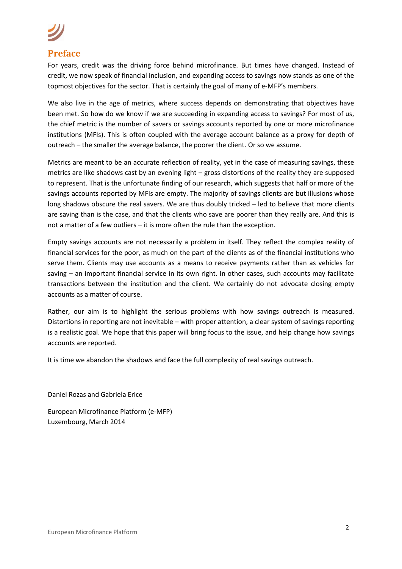## **Preface**

For years, credit was the driving force behind microfinance. But times have changed. Instead of credit, we now speak of financial inclusion, and expanding access to savings now stands as one of the topmost objectives for the sector. That is certainly the goal of many of e-MFP's members.

We also live in the age of metrics, where success depends on demonstrating that objectives have been met. So how do we know if we are succeeding in expanding access to savings? For most of us, the chief metric is the number of savers or savings accounts reported by one or more microfinance institutions (MFIs). This is often coupled with the average account balance as a proxy for depth of outreach – the smaller the average balance, the poorer the client. Or so we assume.

Metrics are meant to be an accurate reflection of reality, yet in the case of measuring savings, these metrics are like shadows cast by an evening light – gross distortions of the reality they are supposed to represent. That is the unfortunate finding of our research, which suggests that half or more of the savings accounts reported by MFIs are empty. The majority of savings clients are but illusions whose long shadows obscure the real savers. We are thus doubly tricked – led to believe that more clients are saving than is the case, and that the clients who save are poorer than they really are. And this is not a matter of a few outliers – it is more often the rule than the exception.

Empty savings accounts are not necessarily a problem in itself. They reflect the complex reality of financial services for the poor, as much on the part of the clients as of the financial institutions who serve them. Clients may use accounts as a means to receive payments rather than as vehicles for saving – an important financial service in its own right. In other cases, such accounts may facilitate transactions between the institution and the client. We certainly do not advocate closing empty accounts as a matter of course.

Rather, our aim is to highlight the serious problems with how savings outreach is measured. Distortions in reporting are not inevitable – with proper attention, a clear system of savings reporting is a realistic goal. We hope that this paper will bring focus to the issue, and help change how savings accounts are reported.

It is time we abandon the shadows and face the full complexity of real savings outreach.

Daniel Rozas and Gabriela Erice

European Microfinance Platform (e-MFP) Luxembourg, March 2014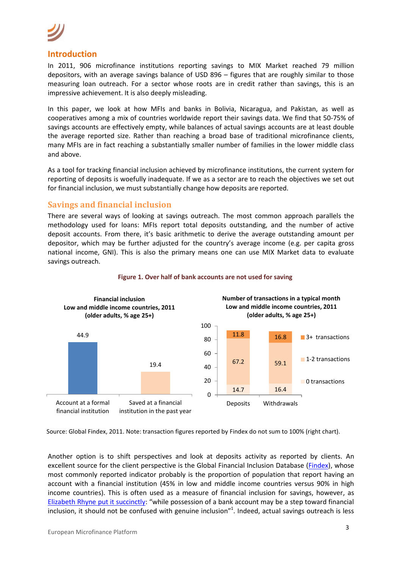### **Introduction**

In 2011, 906 microfinance institutions reporting savings to MIX Market reached 79 million depositors, with an average savings balance of USD 896 – figures that are roughly similar to those measuring loan outreach. For a sector whose roots are in credit rather than savings, this is an impressive achievement. It is also deeply misleading.

In this paper, we look at how MFIs and banks in Bolivia, Nicaragua, and Pakistan, as well as cooperatives among a mix of countries worldwide report their savings data. We find that 50-75% of savings accounts are effectively empty, while balances of actual savings accounts are at least double the average reported size. Rather than reaching a broad base of traditional microfinance clients, many MFIs are in fact reaching a substantially smaller number of families in the lower middle class and above.

As a tool for tracking financial inclusion achieved by microfinance institutions, the current system for reporting of deposits is woefully inadequate. If we as a sector are to reach the objectives we set out for financial inclusion, we must substantially change how deposits are reported.

### **Savings and financial inclusion**

There are several ways of looking at savings outreach. The most common approach parallels the methodology used for loans: MFIs report total deposits outstanding, and the number of active deposit accounts. From there, it's basic arithmetic to derive the average outstanding amount per depositor, which may be further adjusted for the country's average income (e.g. per capita gross national income, GNI). This is also the primary means one can use MIX Market data to evaluate savings outreach.



### **Figure 1. Over half of bank accounts are not used for saving**

Source: Global Findex, 2011. Note: transaction figures reported by Findex do not sum to 100% (right chart).

Another option is to shift perspectives and look at deposits activity as reported by clients. An excellent source for the client perspective is the Global Financial Inclusion Database [\(Findex\)](http://data.worldbank.org/data-catalog/financial_inclusion), whose most commonly reported indicator probably is the proportion of population that report having an account with a financial institution (45% in low and middle income countries versus 90% in high income countries). This is often used as a measure of financial inclusion for savings, however, as [Elizabeth Rhyne put it succinctly:](http://www.theguardian.com/global-development-professionals-network/dai-partner-zone/money-management-financial-inclusion-and-banking-the-unbanked) "while possession of a bank account may be a step toward financial inclusion, it should not be confused with genuine inclusion"<sup>1</sup>. Indeed, actual savings outreach is less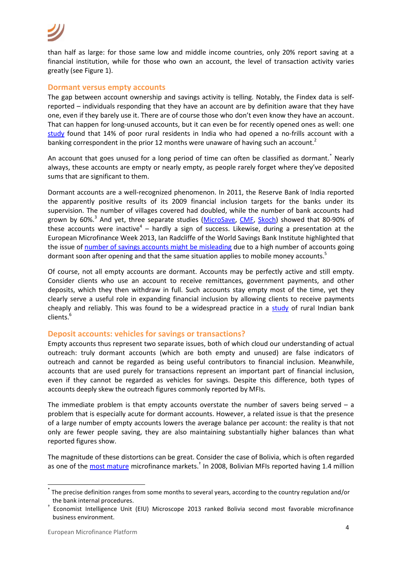than half as large: for those same low and middle income countries, only 20% report saving at a financial institution, while for those who own an account, the level of transaction activity varies greatly (see Figure 1).

### **Dormant versus empty accounts**

The gap between account ownership and savings activity is telling. Notably, the Findex data is selfreported – individuals responding that they have an account are by definition aware that they have one, even if they barely use it. There are of course those who don't even know they have an account. That can happen for long-unused accounts, but it can even be for recently opened ones as well: one [study](http://documents.worldbank.org/curated/en/2012/11/18256673/bringing-bank-doorstep-financial-education-influence-savings-behavior-among-poor-evidence-randomized-financial-literacy-program-india) found that 14% of poor rural residents in India who had opened a no-frills account with a banking correspondent in the prior 12 months were unaware of having such an account.<sup>2</sup>

An account that goes unused for a long period of time can often be classified as dormant.<sup>\*</sup> Nearly always, these accounts are empty or nearly empty, as people rarely forget where they've deposited sums that are significant to them.

Dormant accounts are a well-recognized phenomenon. In 2011, the Reserve Bank of India reported the apparently positive results of its 2009 financial inclusion targets for the banks under its supervision. The number of villages covered had doubled, while the number of bank accounts had grown by 60%.<sup>3</sup> And yet, three separate studies [\(MicroSave,](http://www.microsave.net/resource/no_thrills_dormancy_in_nfa_accounts) [CMF,](http://www.centre-for-microfinance.org/wp-content/uploads/attachments/csy/1299/28_NoFrills_Cuddalore.pdf) [Skoch\)](http://skoch.in/images/29/BKSwain.pdf?keepThis=true&TB_iframe=true&height=600&width=850&caption=Dr+BK+Swain) showed that 80-90% of these accounts were inactive<sup>4</sup> – hardly a sign of success. Likewise, during a presentation at the European Microfinance Week 2013, Ian Radcliffe of the World Savings Bank Institute highlighted that the issue of [number of savings accounts might be misleading](http://www.microcapital.org/special-report-youth-financial-inclusion-group-tackles-business-training-scaling-up-dormant-accounts-program-indicators-self-sufficiency-at-european-microfinance-week-emw2013/) due to a high number of accounts going dormant soon after opening and that the same situation applies to mobile money accounts.<sup>5</sup>

Of course, not all empty accounts are dormant. Accounts may be perfectly active and still empty. Consider clients who use an account to receive remittances, government payments, and other deposits, which they then withdraw in full. Such accounts stay empty most of the time, yet they clearly serve a useful role in expanding financial inclusion by allowing clients to receive payments cheaply and reliably. This was found to be a widespread practice in a [study](http://www.centre-for-microfinance.org/wp-content/uploads/attachments/csy/1901/26_Ramji_Financial%20Inclusion%20in%20Gulbarga.pdf) of rural Indian bank clients.<sup>6</sup>

### **Deposit accounts: vehicles for savings or transactions?**

Empty accounts thus represent two separate issues, both of which cloud our understanding of actual outreach: truly dormant accounts (which are both empty and unused) are false indicators of outreach and cannot be regarded as being useful contributors to financial inclusion. Meanwhile, accounts that are used purely for transactions represent an important part of financial inclusion, even if they cannot be regarded as vehicles for savings. Despite this difference, both types of accounts deeply skew the outreach figures commonly reported by MFIs.

The immediate problem is that empty accounts overstate the number of savers being served  $-$  a problem that is especially acute for dormant accounts. However, a related issue is that the presence of a large number of empty accounts lowers the average balance per account: the reality is that not only are fewer people saving, they are also maintaining substantially higher balances than what reported figures show.

The magnitude of these distortions can be great. Consider the case of Bolivia, which is often regarded as one of the *most mature* microfinance markets.<sup>†</sup> In 2008, Bolivian MFIs reported having 1.4 million

1

<sup>\*</sup> The precise definition ranges from some months to several years, according to the country regulation and/or the bank internal procedures.

<sup>†</sup> Economist Intelligence Unit (EIU) Microscope 2013 ranked Bolivia second most favorable microfinance business environment.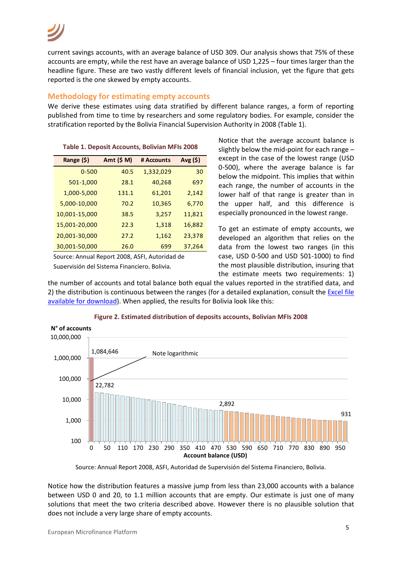current savings accounts, with an average balance of USD 309. Our analysis shows that 75% of these accounts are empty, while the rest have an average balance of USD 1,225 – four times larger than the headline figure. These are two vastly different levels of financial inclusion, yet the figure that gets reported is the one skewed by empty accounts.

### **Methodology for estimating empty accounts**

We derive these estimates using data stratified by different balance ranges, a form of reporting published from time to time by researchers and some regulatory bodies. For example, consider the stratification reported by the Bolivia Financial Supervision Authority in 2008 (Table 1).

| Range (\$)    | Amt (\$ M) | # Accounts | $Avg($ \$) |
|---------------|------------|------------|------------|
| $0 - 500$     | 40.5       | 1,332,029  | 30         |
| 501-1,000     | 28.1       | 40,268     | 697        |
| 1,000-5,000   | 131.1      | 61,201     | 2,142      |
| 5,000-10,000  | 70.2       | 10,365     | 6,770      |
| 10,001-15,000 | 38.5       | 3,257      | 11,821     |
| 15,001-20,000 | 22.3       | 1,318      | 16,882     |
| 20,001-30,000 | 27.2       | 1,162      | 23,378     |
| 30,001-50,000 | 26.0       | 699        | 37,264     |

**Table 1. Deposit Accounts, Bolivian MFIs 2008**

Source: Annual Report 2008, ASFI, Autoridad de

Supervisión del Sistema Financiero, Bolivia.

Notice that the average account balance is slightly below the mid-point for each range – except in the case of the lowest range (USD 0-500), where the average balance is far below the midpoint. This implies that within each range, the number of accounts in the lower half of that range is greater than in the upper half, and this difference is especially pronounced in the lowest range.

To get an estimate of empty accounts, we developed an algorithm that relies on the data from the lowest two ranges (in this case, USD 0-500 and USD 501-1000) to find the most plausible distribution, insuring that the estimate meets two requirements: 1)

the number of accounts and total balance both equal the values reported in the stratified data, and 2) the distribution is continuous between the ranges (for a detailed explanation, consult the [Excel file](http://www.e-mfp.eu/news/measuring_savings_outreach)  [available for download\)](http://www.e-mfp.eu/news/measuring_savings_outreach). When applied, the results for Bolivia look like this:



### **Figure 2. Estimated distribution of deposits accounts, Bolivian MFIs 2008**

Source: Annual Report 2008, ASFI, Autoridad de Supervisión del Sistema Financiero, Bolivia.

Notice how the distribution features a massive jump from less than 23,000 accounts with a balance between USD 0 and 20, to 1.1 million accounts that are empty. Our estimate is just one of many solutions that meet the two criteria described above. However there is no plausible solution that does not include a very large share of empty accounts.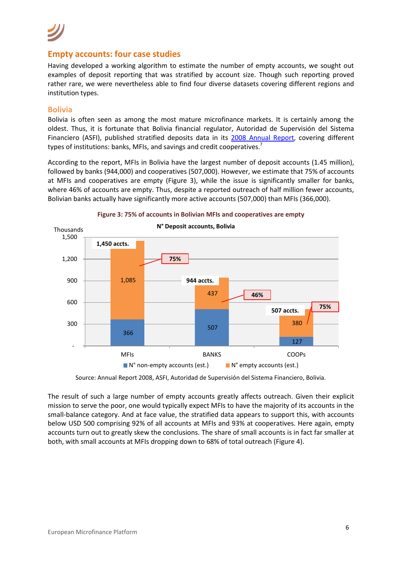### **Empty accounts: four case studies**

Having developed a working algorithm to estimate the number of empty accounts, we sought out examples of deposit reporting that was stratified by account size. Though such reporting proved rather rare, we were nevertheless able to find four diverse datasets covering different regions and institution types.

### **Bolivia**

Bolivia is often seen as among the most mature microfinance markets. It is certainly among the oldest. Thus, it is fortunate that Bolivia financial regulator, Autoridad de Supervisión del Sistema Financiero (ASFI), published stratified deposits data in its [2008 Annual Report,](https://www.asfi.gob.bo/Estad%C3%ADsticas/AnuarioEstad%C3%ADstico/Anuario2008.aspx) covering different types of institutions: banks, MFIs, and savings and credit cooperatives.<sup>7</sup>

According to the report, MFIs in Bolivia have the largest number of deposit accounts (1.45 million), followed by banks (944,000) and cooperatives (507,000). However, we estimate that 75% of accounts at MFIs and cooperatives are empty (Figure 3), while the issue is significantly smaller for banks, where 46% of accounts are empty. Thus, despite a reported outreach of half million fewer accounts, Bolivian banks actually have significantly more active accounts (507,000) than MFIs (366,000).

![](_page_5_Figure_6.jpeg)

![](_page_5_Figure_7.jpeg)

Source: Annual Report 2008, ASFI, Autoridad de Supervisión del Sistema Financiero, Bolivia.

The result of such a large number of empty accounts greatly affects outreach. Given their explicit mission to serve the poor, one would typically expect MFIs to have the majority of its accounts in the small-balance category. And at face value, the stratified data appears to support this, with accounts below USD 500 comprising 92% of all accounts at MFIs and 93% at cooperatives. Here again, empty accounts turn out to greatly skew the conclusions. The share of small accounts is in fact far smaller at both, with small accounts at MFIs dropping down to 68% of total outreach (Figure 4).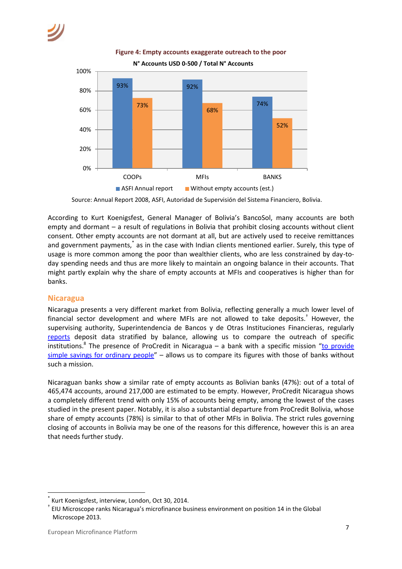![](_page_6_Figure_1.jpeg)

**Figure 4: Empty accounts exaggerate outreach to the poor**

According to Kurt Koenigsfest, General Manager of Bolivia's BancoSol, many accounts are both empty and dormant – a result of regulations in Bolivia that prohibit closing accounts without client consent. Other empty accounts are not dormant at all, but are actively used to receive remittances and government payments,<sup>\*</sup> as in the case with Indian clients mentioned earlier. Surely, this type of usage is more common among the poor than wealthier clients, who are less constrained by day-today spending needs and thus are more likely to maintain an ongoing balance in their accounts. That might partly explain why the share of empty accounts at MFIs and cooperatives is higher than for banks.

### **Nicaragua**

Nicaragua presents a very different market from Bolivia, reflecting generally a much lower level of financial sector development and where MFIs are not allowed to take deposits. † However, the supervising authority, Superintendencia de Bancos y de Otras Instituciones Financieras, regularly [reports](http://www.superintendencia.gob.ni/index.php?web=contenido&idd=1&idw=36) deposit data stratified by balance, allowing us to compare the outreach of specific institutions.<sup>8</sup> The presence of ProCredit in Nicaragua – a bank with a specific mission "to provide [simple savings for ordinary people](http://www.procredit-holding.com/en/about-us/procredit-today.html)" – allows us to compare its figures with those of banks without such a mission.

Nicaraguan banks show a similar rate of empty accounts as Bolivian banks (47%): out of a total of 465,474 accounts, around 217,000 are estimated to be empty. However, ProCredit Nicaragua shows a completely different trend with only 15% of accounts being empty, among the lowest of the cases studied in the present paper. Notably, it is also a substantial departure from ProCredit Bolivia, whose share of empty accounts (78%) is similar to that of other MFIs in Bolivia. The strict rules governing closing of accounts in Bolivia may be one of the reasons for this difference, however this is an area that needs further study.

**.** 

Source: Annual Report 2008, ASFI, Autoridad de Supervisión del Sistema Financiero, Bolivia.

<sup>\*</sup> Kurt Koenigsfest, interview, London, Oct 30, 2014.

<sup>†</sup> EIU Microscope ranks Nicaragua's microfinance business environment on position 14 in the Global Microscope 2013.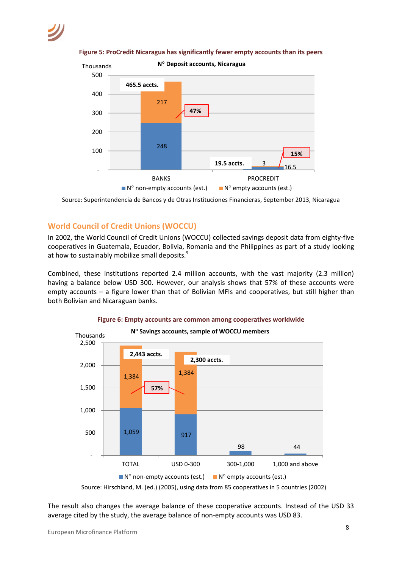![](_page_7_Figure_1.jpeg)

**Figure 5: ProCredit Nicaragua has significantly fewer empty accounts than its peers**

Source: Superintendencia de Bancos y de Otras Instituciones Financieras, September 2013, Nicaragua

### **World Council of Credit Unions (WOCCU)**

In 2002, the World Council of Credit Unions (WOCCU) collected savings deposit data from eighty-five cooperatives in Guatemala, Ecuador, Bolivia, Romania and the Philippines as part of a study looking at how to sustainably mobilize small deposits.<sup>9</sup>

Combined, these institutions reported 2.4 million accounts, with the vast majority (2.3 million) having a balance below USD 300. However, our analysis shows that 57% of these accounts were empty accounts – a figure lower than that of Bolivian MFIs and cooperatives, but still higher than both Bolivian and Nicaraguan banks.

![](_page_7_Figure_7.jpeg)

![](_page_7_Figure_8.jpeg)

Source: Hirschland, M. (ed.) (2005), using data from 85 cooperatives in 5 countries (2002)

The result also changes the average balance of these cooperative accounts. Instead of the USD 33 average cited by the study, the average balance of non-empty accounts was USD 83.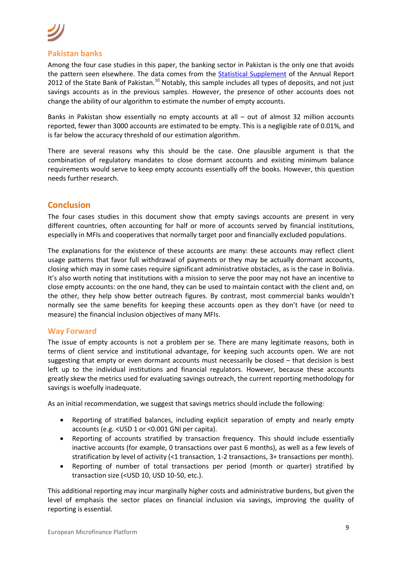### **Pakistan banks**

Among the four case studies in this paper, the banking sector in Pakistan is the only one that avoids the pattern seen elsewhere. The data comes from the [Statistical Supplement](http://www.sbp.org.pk/reports/annual/arFY12/Vol2/Chapter-6.pdf) of the Annual Report 2012 of the State Bank of Pakistan.<sup>10</sup> Notably, this sample includes all types of deposits, and not just savings accounts as in the previous samples. However, the presence of other accounts does not change the ability of our algorithm to estimate the number of empty accounts.

Banks in Pakistan show essentially no empty accounts at all – out of almost 32 million accounts reported, fewer than 3000 accounts are estimated to be empty. This is a negligible rate of 0.01%, and is far below the accuracy threshold of our estimation algorithm.

There are several reasons why this should be the case. One plausible argument is that the combination of regulatory mandates to close dormant accounts and existing minimum balance requirements would serve to keep empty accounts essentially off the books. However, this question needs further research.

### **Conclusion**

The four cases studies in this document show that empty savings accounts are present in very different countries, often accounting for half or more of accounts served by financial institutions, especially in MFIs and cooperatives that normally target poor and financially excluded populations.

The explanations for the existence of these accounts are many: these accounts may reflect client usage patterns that favor full withdrawal of payments or they may be actually dormant accounts, closing which may in some cases require significant administrative obstacles, as is the case in Bolivia. It's also worth noting that institutions with a mission to serve the poor may not have an incentive to close empty accounts: on the one hand, they can be used to maintain contact with the client and, on the other, they help show better outreach figures. By contrast, most commercial banks wouldn't normally see the same benefits for keeping these accounts open as they don't have (or need to measure) the financial inclusion objectives of many MFIs.

### **Way Forward**

The issue of empty accounts is not a problem per se. There are many legitimate reasons, both in terms of client service and institutional advantage, for keeping such accounts open. We are not suggesting that empty or even dormant accounts must necessarily be closed – that decision is best left up to the individual institutions and financial regulators. However, because these accounts greatly skew the metrics used for evaluating savings outreach, the current reporting methodology for savings is woefully inadequate.

As an initial recommendation, we suggest that savings metrics should include the following:

- Reporting of stratified balances, including explicit separation of empty and nearly empty accounts (e.g. <USD 1 or <0.001 GNI per capita).
- Reporting of accounts stratified by transaction frequency. This should include essentially inactive accounts (for example, 0 transactions over past 6 months), as well as a few levels of stratification by level of activity (<1 transaction, 1-2 transactions, 3+ transactions per month).
- Reporting of number of total transactions per period (month or quarter) stratified by transaction size (<USD 10, USD 10-50, etc.).

This additional reporting may incur marginally higher costs and administrative burdens, but given the level of emphasis the sector places on financial inclusion via savings, improving the quality of reporting is essential.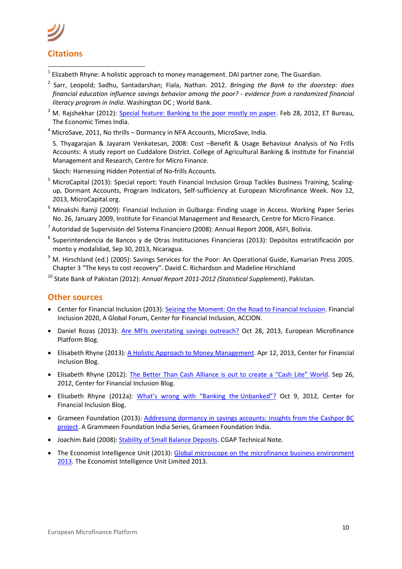**.** 

- $^{1}$  Elizabeth Rhyne: A holistic approach to money management. DAI partner zone, The Guardian.
- 2 Sarr, Leopold; Sadhu, Santadarshan; Fiala, Nathan. 2012. *Bringing the Bank to the doorstep: does financial education influence savings behavior among the poor? - evidence from a randomized financial literacy program in India*. Washington DC ; World Bank.
- <sup>3</sup> M. Rajshekhar (2012): [Special feature: Banking to the poor mostly on paper.](http://articles.economictimes.indiatimes.com/2012-02-28/news/31108145_1_bank-accounts-usha-thorat-banking-access) Feb 28, 2012, ET Bureau, The Economic Times India.
- $4$  MicroSave, 2011, No thrills Dormancy in NFA Accounts, MicroSave, India.

S. Thyagarajan & Jayaram Venkatesan, 2008: Cost –Benefit & Usage Behaviour Analysis of No Frills Accounts: A study report on Cuddalore District. College of Agricultural Banking & Institute for Financial Management and Research, Centre for Micro Finance.

Skoch: Harnessing Hidden Potential of No-frills Accounts.

- <sup>5</sup> MicroCapital (2013): [Special report: Youth Financial Inclusion Group Tackles Business Training, Scaling](http://www.microcapital.org/special-report-youth-financial-inclusion-group-tackles-business-training-scaling-up-dormant-accounts-program-indicators-self-sufficiency-at-european-microfinance-week-emw2013/)[up, Dormant Accounts, Program Indicators, Self-sufficiency at European Microfinance Week.](http://www.microcapital.org/special-report-youth-financial-inclusion-group-tackles-business-training-scaling-up-dormant-accounts-program-indicators-self-sufficiency-at-european-microfinance-week-emw2013/) Nov 12, 2013, MicroCapital.org.
- <sup>6</sup> Minakshi Ramji (2009): Financial Inclusion in Gulbarga: Finding usage in Access. Working Paper Series No. 26, January 2009, Institute for Financial Management and Research, Centre for Micro Finance.
- <sup>7</sup> Autoridad de Supervisión del Sistema Financiero (2008): Annual Report 2008, ASFI, Bolivia.
- <sup>8</sup> Superintendencia de Bancos y de Otras Instituciones Financieras (2013): Depósitos estratificación por monto y modalidad, Sep 30, 2013, Nicaragua.
- $9$  M. Hirschland (ed.) (2005): Savings Services for the Poor: An Operational Guide, Kumarian Press 2005. Chapter 3 "The keys to cost recovery". David C. Richardson and Madeline Hirschland
- <sup>10</sup> State Bank of Pakistan (2012): *Annual Report 2011-2012 (Statistical Supplement)*, Pakistan.

### **Other sources**

- Center for Financial Inclusion (2013): [Seizing the Moment: On the Road to Financial Inclusion.](http://centerforfinancialinclusionblog.files.wordpress.com/2013/11/seizing-the-moment-fi2020-synthesis-report.pdf) Financial Inclusion 2020, A Global Forum, Center for Financial Inclusion, ACCION.
- Daniel Rozas (2013): [Are MFIs overstating savings outreach?](http://www.blog.e-mfp.eu/blog/are-mfis-overstating-savings-outreach) Oct 28, 2013, European Microfinance Platform Blog.
- Elisabeth Rhyne (2013)[: A Holistic Approach to Money](http://cfi-blog.org/2013/04/12/a-holistic-approach-to-money-management/) Management. Apr 12, 2013, Center for Financial Inclusion Blog.
- Elisabeth Rhyne (2012): [The Better Than Cash Alliance is out to create a "Cash Lite" World](http://cfi-blog.org/2012/09/26/the-better-than-cash-alliance-is-out-to-create-a-cash-lite-world/). Sep 26, 2012, Center for Financial Inclusion Blog.
- Elisabeth Rhyne (2012a): [What's wrong with "Banking the](http://cfi-blog.org/2012/10/09/whats-wrong-with-banking-the-unbanked/) Unbanked"? Oct 9, 2012, Center for Financial Inclusion Blog.
- Grameen Foundation (2013): [Addressing dormancy in savings accounts: insights from the Cashpor BC](http://www.grameenfoundation.org/resource/addressing-dormancy-insights-gfi-cashpor-bc-project)  [project.](http://www.grameenfoundation.org/resource/addressing-dormancy-insights-gfi-cashpor-bc-project) A Grammeen Foundation India Series, Grameen Foundation India.
- Joachim Bald (2008): [Stability of Small Balance Deposits.](http://www.cgap.org/sites/default/files/CGAP-Technical-Guide-Stability-Small-Balance-Deposits-Jun-2009.pdf) CGAP Technical Note.
- The Economist Intelligence Unit (2013): Global microscope on the microfinance business environment [2013.](http://www.citigroup.com/citi/citizen/community/data/EIU_Microfinance_2013_Proof_08.pdf) The Economist Intelligence Unit Limited 2013.